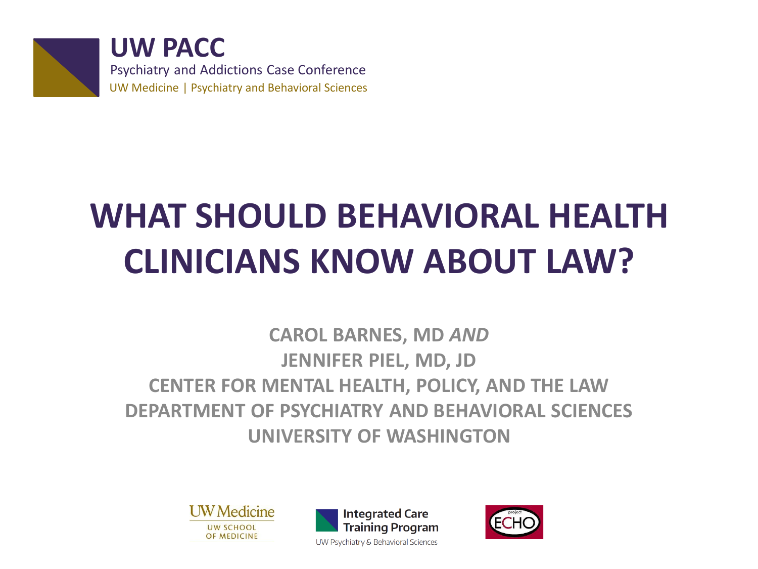

**UW PACC** Psychiatry and Addictions Case Conference UW Medicine | Psychiatry and Behavioral Sciences

## **WHAT SHOULD BEHAVIORAL HEALTH CLINICIANS KNOW ABOUT LAW?**

**CAROL BARNES, MD** *AND* **JENNIFER PIEL, MD, JD CENTER FOR MENTAL HEALTH, POLICY, AND THE LAW DEPARTMENT OF PSYCHIATRY AND BEHAVIORAL SCIENCES UNIVERSITY OF WASHINGTON**





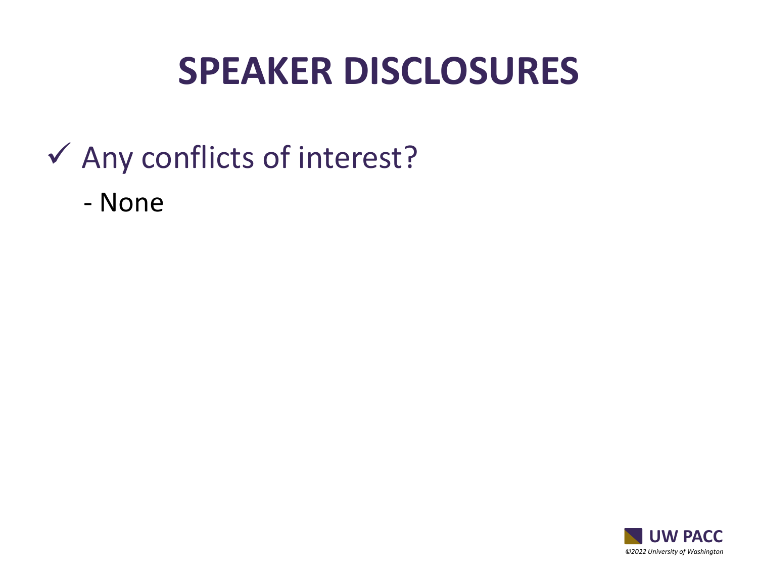#### **SPEAKER DISCLOSURES**

#### $\checkmark$  Any conflicts of interest?

- None

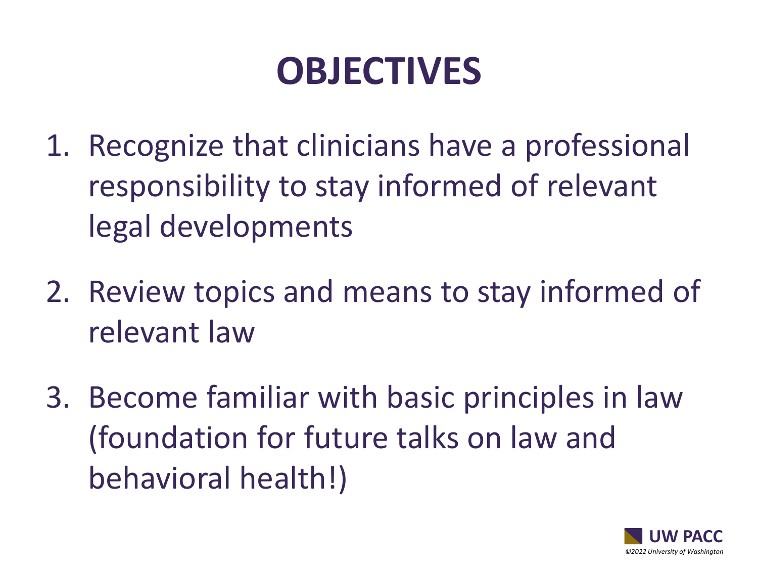## **OBJECTIVES**

- 1. Recognize that clinicians have a professional responsibility to stay informed of relevant legal developments
- 2. Review topics and means to stay informed of relevant law
- 3. Become familiar with basic principles in law (foundation for future talks on law and behavioral health!)

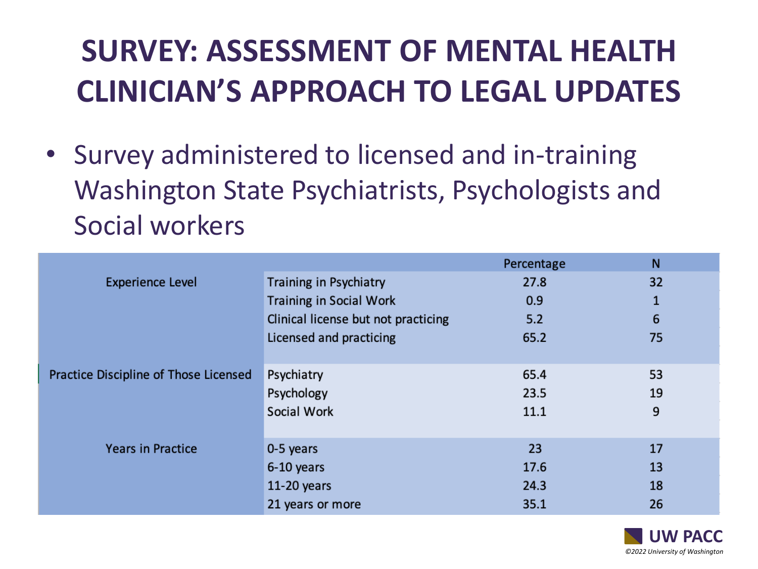#### **SURVEY: ASSESSMENT OF MENTAL HEALTH CLINICIAN'S APPROACH TO LEGAL UPDATES**

• Survey administered to licensed and in-training Washington State Psychiatrists, Psychologists and Social workers

|                                       |                                     | Percentage | N  |
|---------------------------------------|-------------------------------------|------------|----|
| <b>Experience Level</b>               | Training in Psychiatry              | 27.8       | 32 |
|                                       | <b>Training in Social Work</b>      | 0.9        | 1  |
|                                       | Clinical license but not practicing | 5.2        | 6  |
|                                       | Licensed and practicing             | 65.2       | 75 |
|                                       |                                     |            |    |
| Practice Discipline of Those Licensed | Psychiatry                          | 65.4       | 53 |
|                                       | Psychology                          | 23.5       | 19 |
|                                       | Social Work                         | 11.1       | 9  |
|                                       |                                     |            |    |
| <b>Years in Practice</b>              | 0-5 years                           | 23         | 17 |
|                                       | 6-10 years                          | 17.6       | 13 |
|                                       | $11-20$ years                       | 24.3       | 18 |
|                                       | 21 years or more                    | 35.1       | 26 |

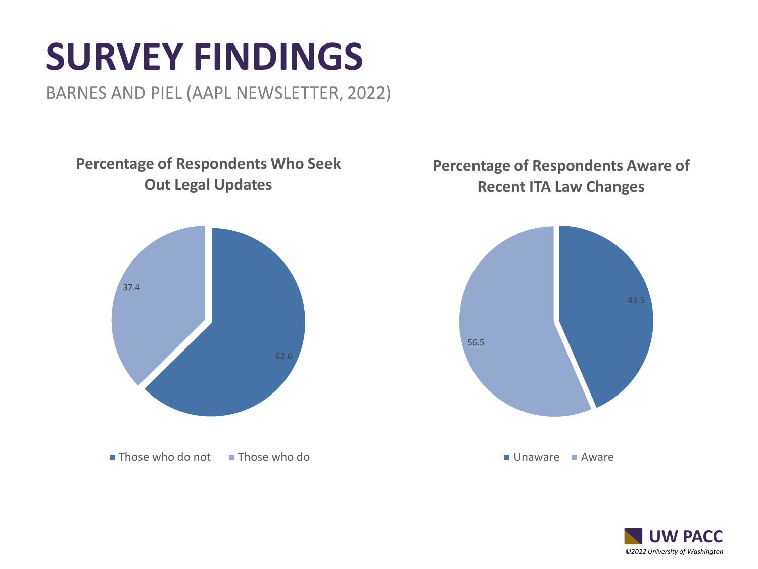## **SURVEY FINDINGS**

BARNES AND PIEL (AAPL NEWSLETTER, 2022)

**Percentage of Respondents Who Seek Out Legal Updates**



 $\blacksquare$  Those who do not  $\blacksquare$  Those who do

#### **Percentage of Respondents Aware of Recent ITA Law Changes**



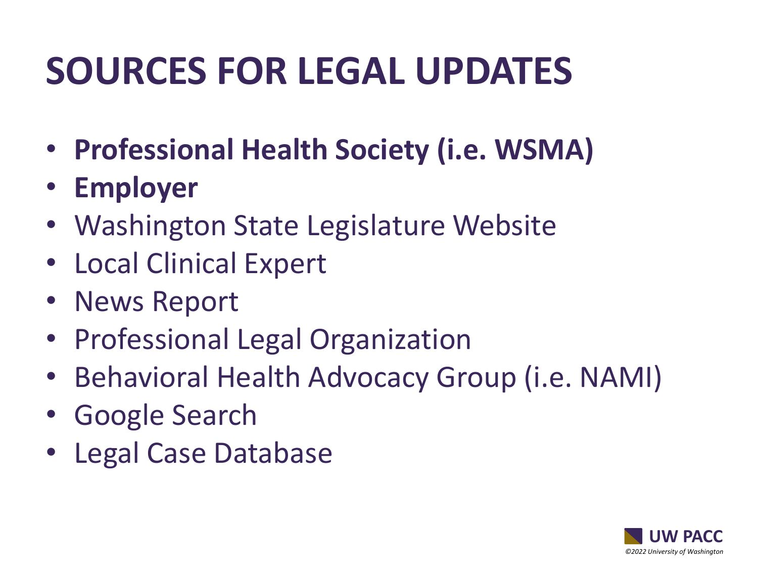## **SOURCES FOR LEGAL UPDATES**

- **Professional Health Society (i.e. WSMA)**
- **Employer**
- Washington State Legislature Website
- Local Clinical Expert
- News Report
- Professional Legal Organization
- Behavioral Health Advocacy Group (i.e. NAMI)
- Google Search
- Legal Case Database

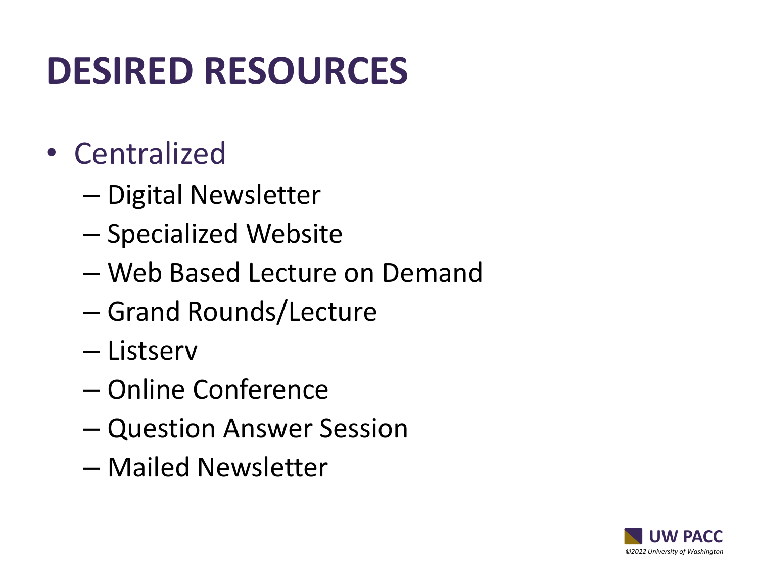## **DESIRED RESOURCES**

- Centralized
	- Digital Newsletter
	- Specialized Website
	- Web Based Lecture on Demand
	- Grand Rounds/Lecture
	- Listserv
	- Online Conference
	- Question Answer Session
	- Mailed Newsletter

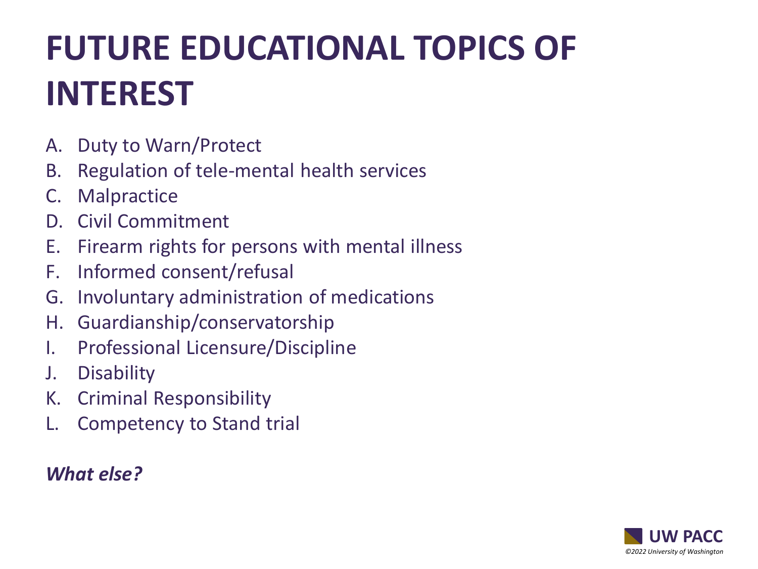### **FUTURE EDUCATIONAL TOPICS OF INTEREST**

- A. Duty to Warn/Protect
- B. Regulation of tele-mental health services
- C. Malpractice
- D. Civil Commitment
- E. Firearm rights for persons with mental illness
- F. Informed consent/refusal
- G. Involuntary administration of medications
- H. Guardianship/conservatorship
- I. Professional Licensure/Discipline
- J. Disability
- K. Criminal Responsibility
- Competency to Stand trial

#### *What else?*

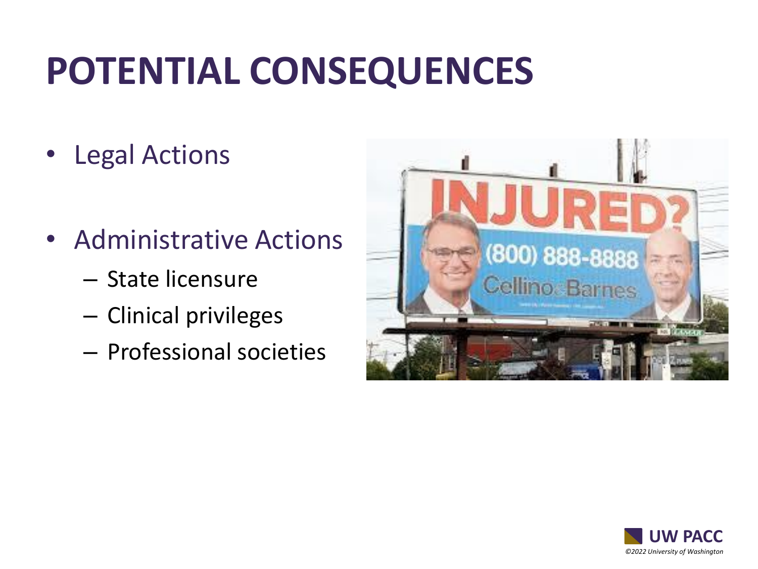## **POTENTIAL CONSEQUENCES**

- Legal Actions
- Administrative Actions
	- State licensure
	- Clinical privileges
	- Professional societies



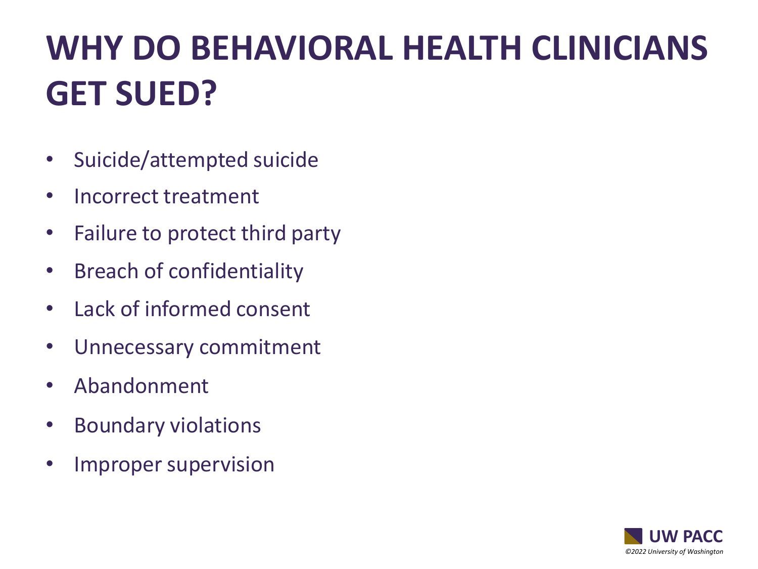### **WHY DO BEHAVIORAL HEALTH CLINICIANS GET SUED?**

- Suicide/attempted suicide
- Incorrect treatment
- Failure to protect third party
- Breach of confidentiality
- Lack of informed consent
- Unnecessary commitment
- Abandonment
- Boundary violations
- Improper supervision

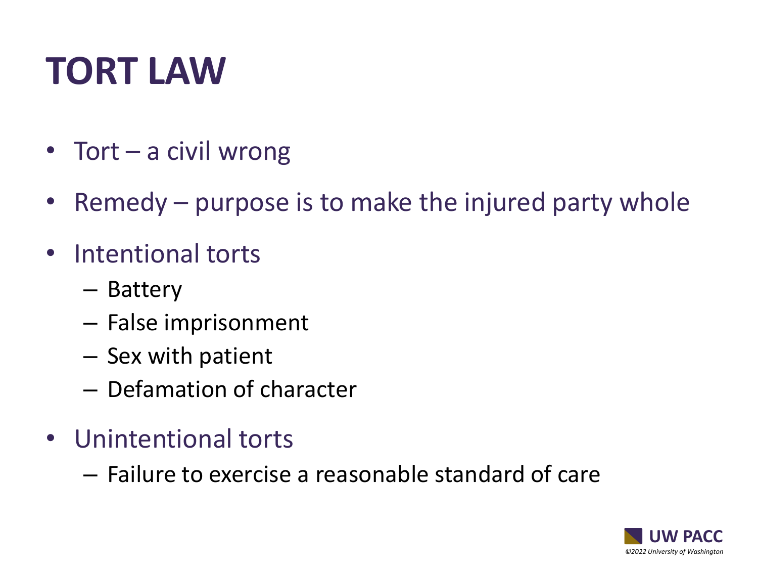# **TORT LAW**

- Tort a civil wrong
- Remedy purpose is to make the injured party whole
- Intentional torts
	- Battery
	- False imprisonment
	- Sex with patient
	- Defamation of character
- Unintentional torts
	- Failure to exercise a reasonable standard of care

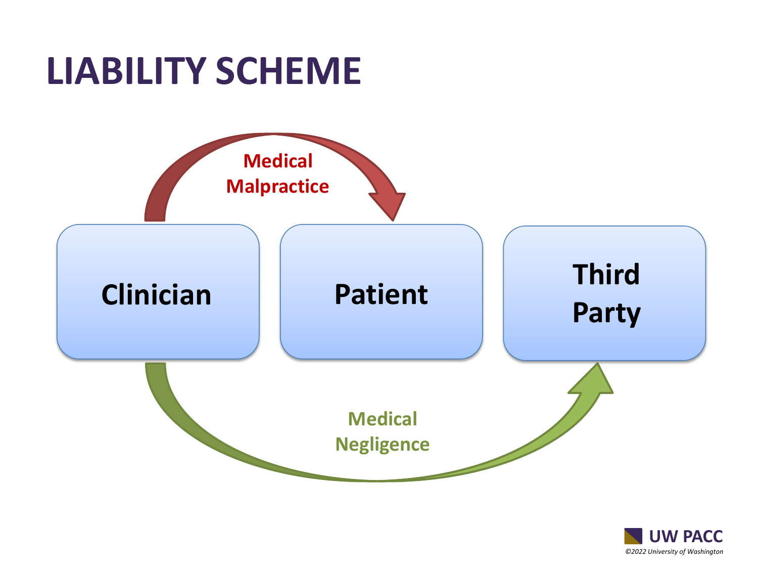### **LIABILITY SCHEME**



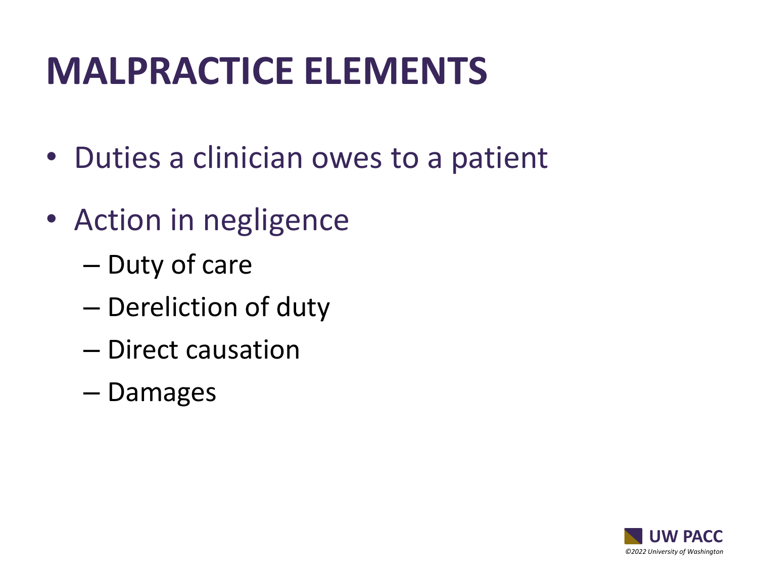## **MALPRACTICE ELEMENTS**

- Duties a clinician owes to a patient
- Action in negligence
	- Duty of care
	- Dereliction of duty
	- Direct causation
	- Damages

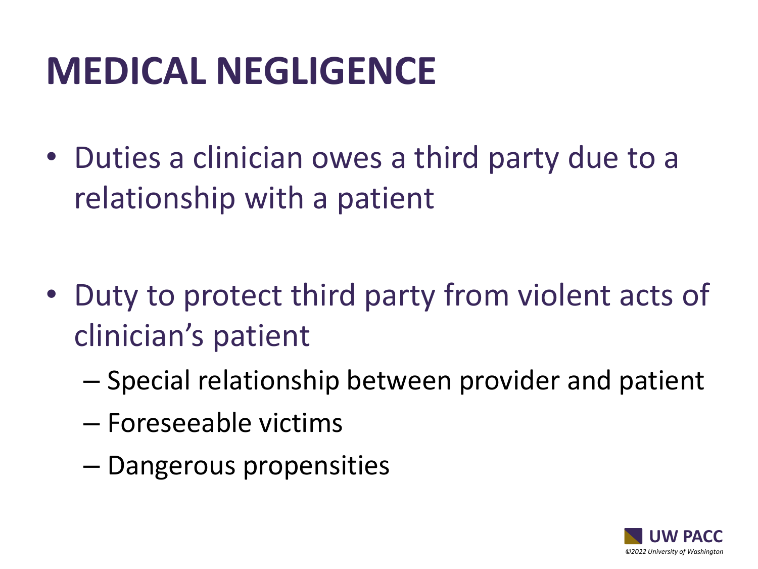## **MEDICAL NEGLIGENCE**

• Duties a clinician owes a third party due to a relationship with a patient

- Duty to protect third party from violent acts of clinician's patient
	- Special relationship between provider and patient
	- Foreseeable victims
	- Dangerous propensities

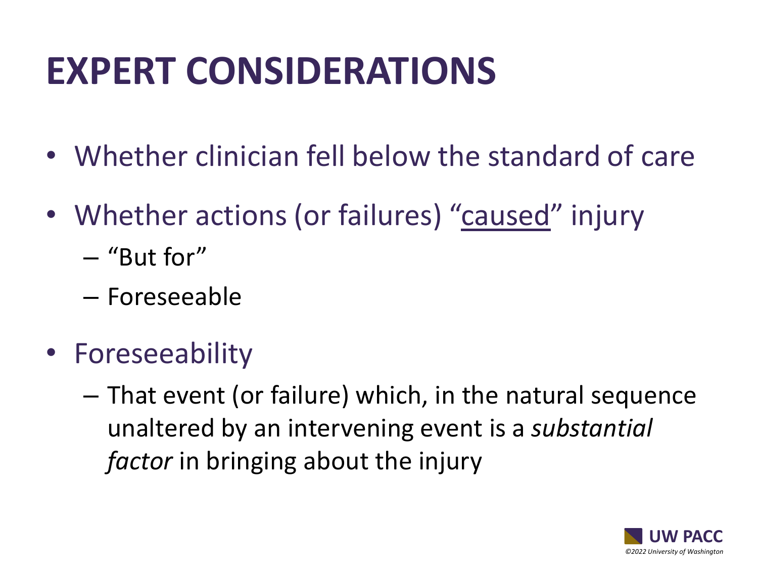## **EXPERT CONSIDERATIONS**

- Whether clinician fell below the standard of care
- Whether actions (or failures) "caused" injury
	- "But for"
	- Foreseeable
- Foreseeability
	- That event (or failure) which, in the natural sequence unaltered by an intervening event is a *substantial factor* in bringing about the injury

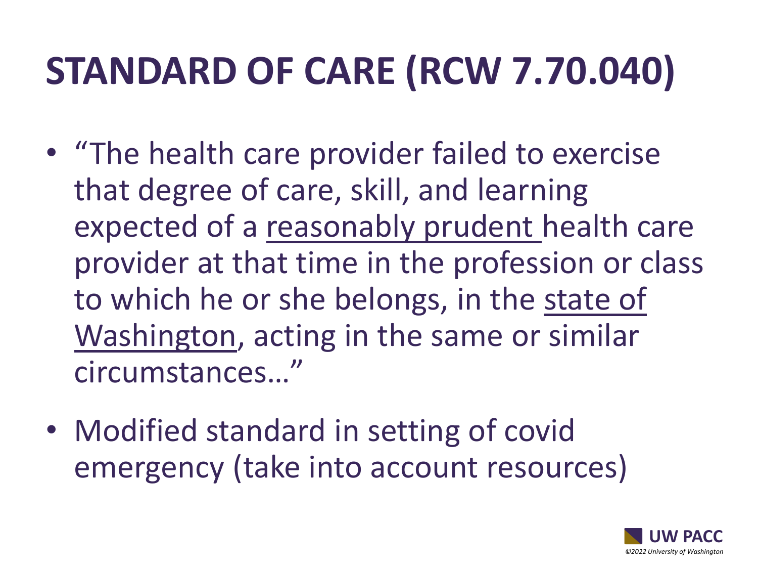## **STANDARD OF CARE (RCW 7.70.040)**

- "The health care provider failed to exercise that degree of care, skill, and learning expected of a reasonably prudent health care provider at that time in the profession or class to which he or she belongs, in the state of Washington, acting in the same or similar circumstances…"
- Modified standard in setting of covid emergency (take into account resources)

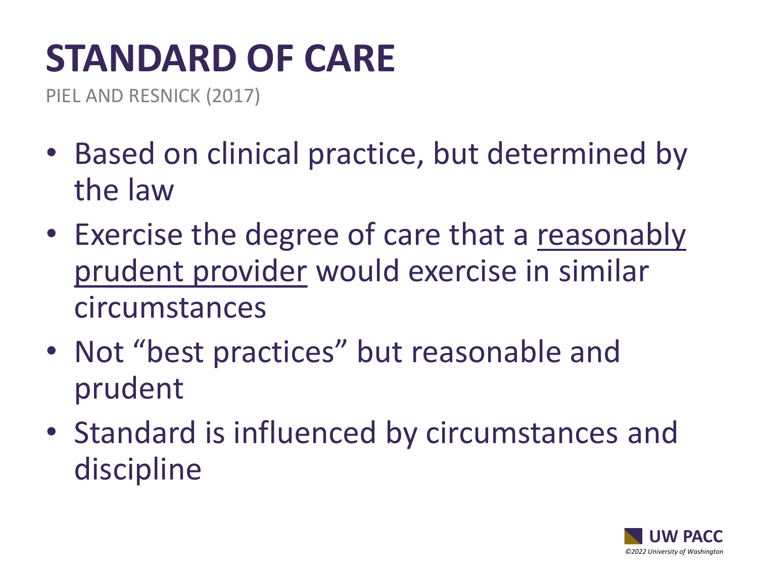# **STANDARD OF CARE**

PIEL AND RESNICK (2017)

- Based on clinical practice, but determined by the law
- Exercise the degree of care that a reasonably prudent provider would exercise in similar circumstances
- Not "best practices" but reasonable and prudent
- Standard is influenced by circumstances and discipline

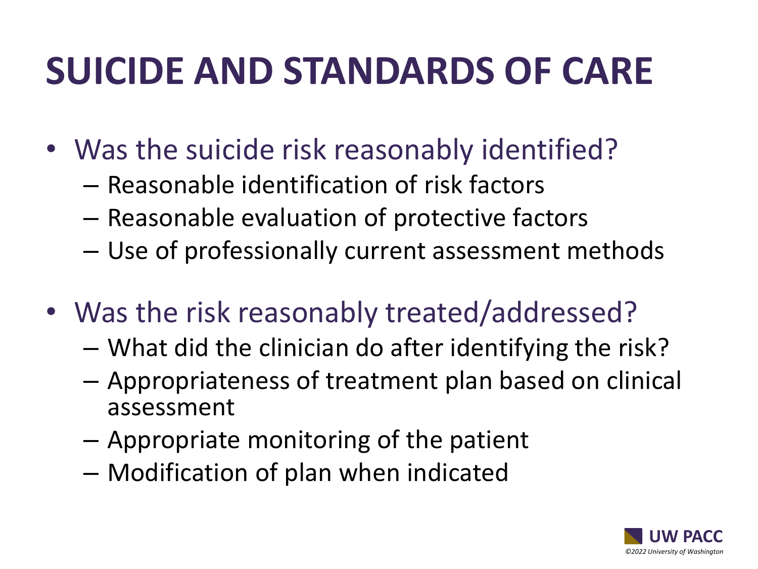## **SUICIDE AND STANDARDS OF CARE**

- Was the suicide risk reasonably identified?
	- Reasonable identification of risk factors
	- Reasonable evaluation of protective factors
	- Use of professionally current assessment methods
- Was the risk reasonably treated/addressed?
	- What did the clinician do after identifying the risk?
	- Appropriateness of treatment plan based on clinical assessment
	- Appropriate monitoring of the patient
	- Modification of plan when indicated

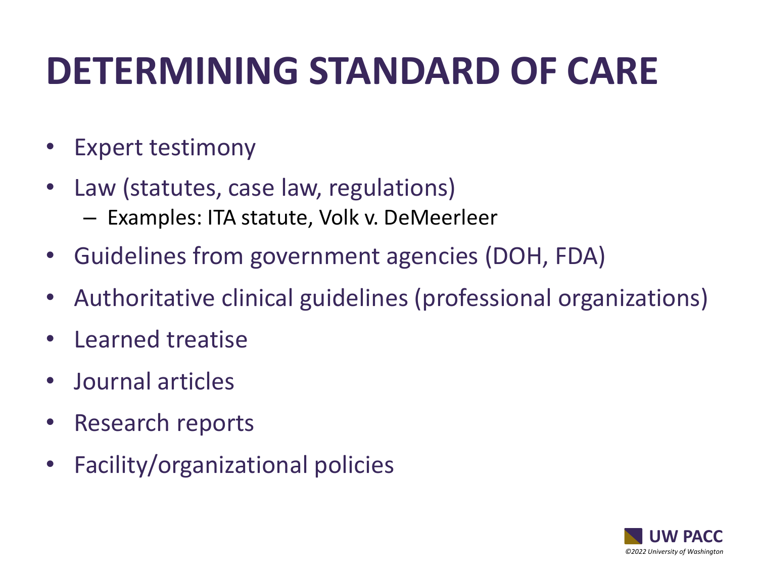## **DETERMINING STANDARD OF CARE**

- Expert testimony
- Law (statutes, case law, regulations) – Examples: ITA statute, Volk v. DeMeerleer
- Guidelines from government agencies (DOH, FDA)
- Authoritative clinical guidelines (professional organizations)
- Learned treatise
- Journal articles
- Research reports
- Facility/organizational policies

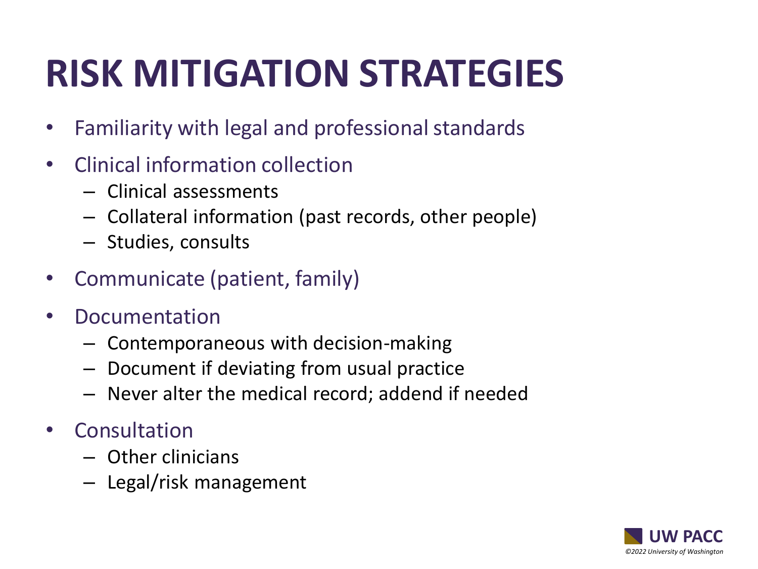# **RISK MITIGATION STRATEGIES**

- Familiarity with legal and professional standards
- Clinical information collection
	- Clinical assessments
	- Collateral information (past records, other people)
	- Studies, consults
- Communicate (patient, family)
- Documentation
	- Contemporaneous with decision-making
	- Document if deviating from usual practice
	- Never alter the medical record; addend if needed
- Consultation
	- Other clinicians
	- Legal/risk management

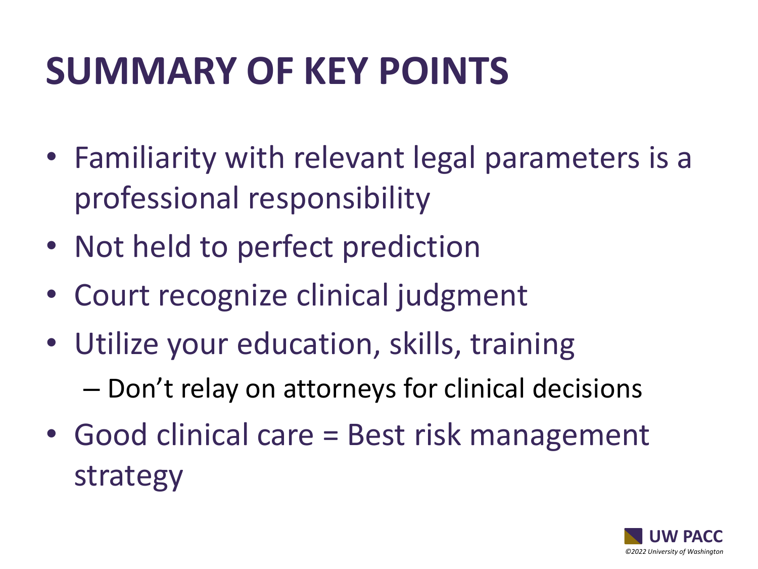## **SUMMARY OF KEY POINTS**

- Familiarity with relevant legal parameters is a professional responsibility
- Not held to perfect prediction
- Court recognize clinical judgment
- Utilize your education, skills, training – Don't relay on attorneys for clinical decisions
- Good clinical care = Best risk management strategy